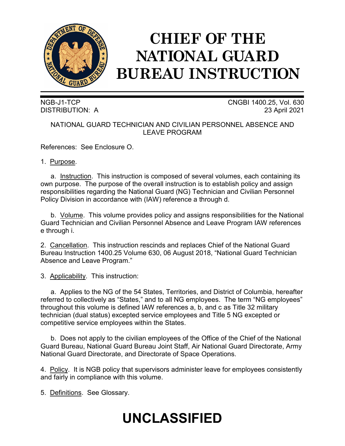

# **CHIEF OF THE NATIONAL GUARD BUREAU INSTRUCTION**

NGB-J1-TCP CNGBI 1400.25, Vol. 630 DISTRIBUTION: A 23 April 2021

# NATIONAL GUARD TECHNICIAN AND CIVILIAN PERSONNEL ABSENCE AND LEAVE PROGRAM

References: See Enclosure O.

## 1. Purpose.

a. Instruction. This instruction is composed of several volumes, each containing its own purpose. The purpose of the overall instruction is to establish policy and assign responsibilities regarding the National Guard (NG) Technician and Civilian Personnel Policy Division in accordance with (IAW) reference a through d.

b. Volume. This volume provides policy and assigns responsibilities for the National Guard Technician and Civilian Personnel Absence and Leave Program IAW references e through i.

2. Cancellation. This instruction rescinds and replaces Chief of the National Guard Bureau Instruction 1400.25 Volume 630, 06 August 2018, "National Guard Technician Absence and Leave Program."

3. Applicability. This instruction:

a. Applies to the NG of the 54 States, Territories, and District of Columbia, hereafter referred to collectively as "States," and to all NG employees. The term "NG employees" throughout this volume is defined IAW references a, b, and c as Title 32 military technician (dual status) excepted service employees and Title 5 NG excepted or competitive service employees within the States.

b. Does not apply to the civilian employees of the Office of the Chief of the National Guard Bureau, National Guard Bureau Joint Staff, Air National Guard Directorate, Army National Guard Directorate, and Directorate of Space Operations.

4. Policy. It is NGB policy that supervisors administer leave for employees consistently and fairly in compliance with this volume.

5. Definitions. See Glossary.

# **UNCLASSIFIED**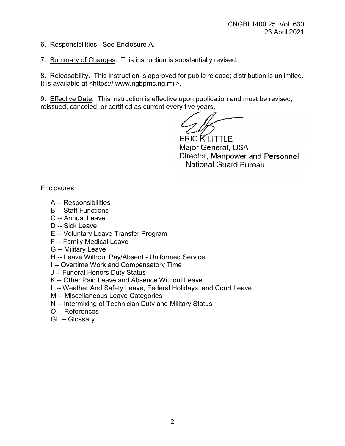6. Responsibilities. See Enclosure A.

7. Summary of Changes. This instruction is substantially revised.

8. Releasability. This instruction is approved for public release; distribution is unlimited. It is available at <https:// www.ngbpmc.ng.mil>.

9. Effective Date. This instruction is effective upon publication and must be revised, reissued, canceled, or certified as current every five years.

ERIC KLITTLE Major General, USA Director, Manpower and Personnel National Guard Bureau

Enclosures:

- A -- Responsibilities
- B -- Staff Functions
- C -- Annual Leave
- D -- Sick Leave
- E -- Voluntary Leave Transfer Program
- F -- Family Medical Leave
- G -- Military Leave
- H -- Leave Without Pay/Absent Uniformed Service
- I -- Overtime Work and Compensatory Time
- J -- Funeral Honors Duty Status
- K -- Other Paid Leave and Absence Without Leave
- L -- Weather And Safety Leave, Federal Holidays, and Court Leave
- M -- Miscellaneous Leave Categories
- N -- Intermixing of Technician Duty and Military Status
- O -- References
- GL -- Glossary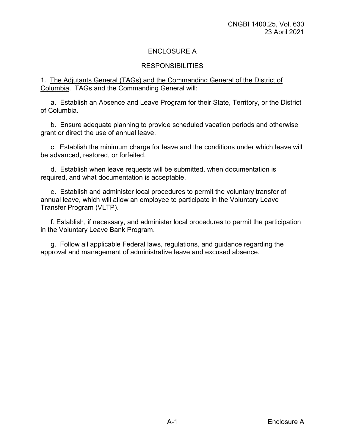# ENCLOSURE A

## RESPONSIBILITIES

#### 1. The Adjutants General (TAGs) and the Commanding General of the District of Columbia. TAGs and the Commanding General will:

a. Establish an Absence and Leave Program for their State, Territory, or the District of Columbia.

b. Ensure adequate planning to provide scheduled vacation periods and otherwise grant or direct the use of annual leave.

c. Establish the minimum charge for leave and the conditions under which leave will be advanced, restored, or forfeited.

d. Establish when leave requests will be submitted, when documentation is required, and what documentation is acceptable.

e. Establish and administer local procedures to permit the voluntary transfer of annual leave, which will allow an employee to participate in the Voluntary Leave Transfer Program (VLTP).

f. Establish, if necessary, and administer local procedures to permit the participation in the Voluntary Leave Bank Program.

g. Follow all applicable Federal laws, regulations, and guidance regarding the approval and management of administrative leave and excused absence.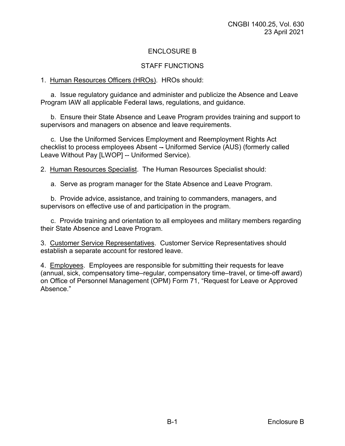# ENCLOSURE B

## STAFF FUNCTIONS

#### 1. Human Resources Officers (HROs). HROs should:

a. Issue regulatory guidance and administer and publicize the Absence and Leave Program IAW all applicable Federal laws, regulations, and guidance.

b. Ensure their State Absence and Leave Program provides training and support to supervisors and managers on absence and leave requirements.

c. Use the Uniformed Services Employment and Reemployment Rights Act checklist to process employees Absent -- Uniformed Service (AUS) (formerly called Leave Without Pay [LWOP] -- Uniformed Service).

2. Human Resources Specialist. The Human Resources Specialist should:

a. Serve as program manager for the State Absence and Leave Program.

b. Provide advice, assistance, and training to commanders, managers, and supervisors on effective use of and participation in the program.

c. Provide training and orientation to all employees and military members regarding their State Absence and Leave Program.

3. Customer Service Representatives. Customer Service Representatives should establish a separate account for restored leave.

4. Employees. Employees are responsible for submitting their requests for leave (annual, sick, compensatory time–regular, compensatory time–travel, or time-off award) on Office of Personnel Management (OPM) Form 71, "Request for Leave or Approved Absence."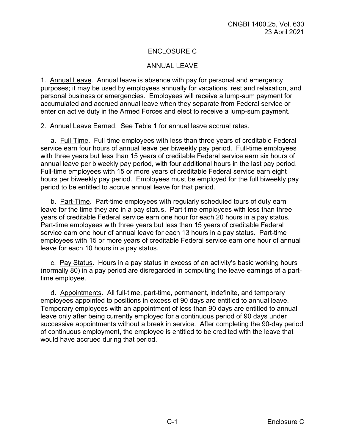# ENCLOSURE C

### ANNUAL LEAVE

1. Annual Leave. Annual leave is absence with pay for personal and emergency purposes; it may be used by employees annually for vacations, rest and relaxation, and personal business or emergencies. Employees will receive a lump-sum payment for accumulated and accrued annual leave when they separate from Federal service or enter on active duty in the Armed Forces and elect to receive a lump-sum payment.

2. Annual Leave Earned. See Table 1 for annual leave accrual rates.

a. Full-Time. Full-time employees with less than three years of creditable Federal service earn four hours of annual leave per biweekly pay period. Full-time employees with three years but less than 15 years of creditable Federal service earn six hours of annual leave per biweekly pay period, with four additional hours in the last pay period. Full-time employees with 15 or more years of creditable Federal service earn eight hours per biweekly pay period. Employees must be employed for the full biweekly pay period to be entitled to accrue annual leave for that period.

b. Part-Time. Part-time employees with regularly scheduled tours of duty earn leave for the time they are in a pay status. Part-time employees with less than three years of creditable Federal service earn one hour for each 20 hours in a pay status. Part-time employees with three years but less than 15 years of creditable Federal service earn one hour of annual leave for each 13 hours in a pay status. Part-time employees with 15 or more years of creditable Federal service earn one hour of annual leave for each 10 hours in a pay status.

c. Pay Status. Hours in a pay status in excess of an activity's basic working hours (normally 80) in a pay period are disregarded in computing the leave earnings of a parttime employee.

d. Appointments. All full-time, part-time, permanent, indefinite, and temporary employees appointed to positions in excess of 90 days are entitled to annual leave. Temporary employees with an appointment of less than 90 days are entitled to annual leave only after being currently employed for a continuous period of 90 days under successive appointments without a break in service. After completing the 90-day period of continuous employment, the employee is entitled to be credited with the leave that would have accrued during that period.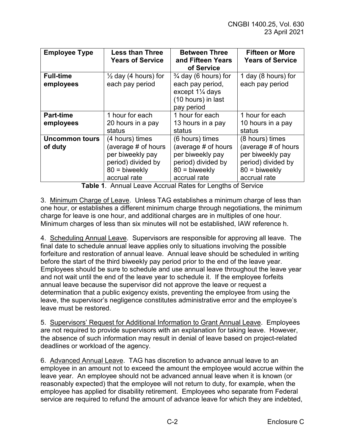| <b>Employee Type</b>             | <b>Less than Three</b><br><b>Years of Service</b>                                                                   | <b>Between Three</b><br>and Fifteen Years<br>of Service                                                               | <b>Fifteen or More</b><br><b>Years of Service</b>                                                                   |
|----------------------------------|---------------------------------------------------------------------------------------------------------------------|-----------------------------------------------------------------------------------------------------------------------|---------------------------------------------------------------------------------------------------------------------|
| <b>Full-time</b><br>employees    | $\frac{1}{2}$ day (4 hours) for<br>each pay period                                                                  | $\frac{3}{4}$ day (6 hours) for<br>each pay period,<br>except $1\frac{1}{4}$ days<br>(10 hours) in last<br>pay period | 1 day (8 hours) for<br>each pay period                                                                              |
| <b>Part-time</b>                 | 1 hour for each                                                                                                     | 1 hour for each                                                                                                       | 1 hour for each                                                                                                     |
| employees                        | 20 hours in a pay<br>status                                                                                         | 13 hours in a pay<br>status                                                                                           | 10 hours in a pay<br>status                                                                                         |
| <b>Uncommon tours</b><br>of duty | (4 hours) times<br>(average # of hours<br>per biweekly pay<br>period) divided by<br>$80 =$ biweekly<br>accrual rate | (6 hours) times<br>(average # of hours<br>per biweekly pay<br>period) divided by<br>$80 =$ biweekly<br>accrual rate   | (8 hours) times<br>(average # of hours<br>per biweekly pay<br>period) divided by<br>$80 =$ biweekly<br>accrual rate |

**Table 1**. Annual Leave Accrual Rates for Lengths of Service

3. Minimum Charge of Leave. Unless TAG establishes a minimum charge of less than one hour, or establishes a different minimum charge through negotiations, the minimum charge for leave is one hour, and additional charges are in multiples of one hour. Minimum charges of less than six minutes will not be established, IAW reference h.

4. Scheduling Annual Leave. Supervisors are responsible for approving all leave. The final date to schedule annual leave applies only to situations involving the possible forfeiture and restoration of annual leave. Annual leave should be scheduled in writing before the start of the third biweekly pay period prior to the end of the leave year. Employees should be sure to schedule and use annual leave throughout the leave year and not wait until the end of the leave year to schedule it. If the employee forfeits annual leave because the supervisor did not approve the leave or request a determination that a public exigency exists, preventing the employee from using the leave, the supervisor's negligence constitutes administrative error and the employee's leave must be restored.

5. Supervisors' Request for Additional Information to Grant Annual Leave. Employees are not required to provide supervisors with an explanation for taking leave. However, the absence of such information may result in denial of leave based on project-related deadlines or workload of the agency.

6. Advanced Annual Leave. TAG has discretion to advance annual leave to an employee in an amount not to exceed the amount the employee would accrue within the leave year. An employee should not be advanced annual leave when it is known (or reasonably expected) that the employee will not return to duty, for example, when the employee has applied for disability retirement. Employees who separate from Federal service are required to refund the amount of advance leave for which they are indebted,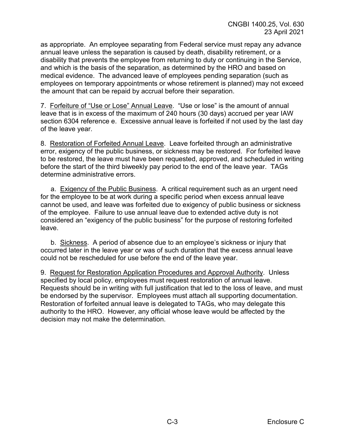as appropriate. An employee separating from Federal service must repay any advance annual leave unless the separation is caused by death, disability retirement, or a disability that prevents the employee from returning to duty or continuing in the Service, and which is the basis of the separation, as determined by the HRO and based on medical evidence. The advanced leave of employees pending separation (such as employees on temporary appointments or whose retirement is planned) may not exceed the amount that can be repaid by accrual before their separation.

7. Forfeiture of "Use or Lose" Annual Leave. "Use or lose" is the amount of annual leave that is in excess of the maximum of 240 hours (30 days) accrued per year IAW section 6304 reference e. Excessive annual leave is forfeited if not used by the last day of the leave year.

8. Restoration of Forfeited Annual Leave. Leave forfeited through an administrative error, exigency of the public business, or sickness may be restored. For forfeited leave to be restored, the leave must have been requested, approved, and scheduled in writing before the start of the third biweekly pay period to the end of the leave year. TAGs determine administrative errors.

a. Exigency of the Public Business. A critical requirement such as an urgent need for the employee to be at work during a specific period when excess annual leave cannot be used, and leave was forfeited due to exigency of public business or sickness of the employee. Failure to use annual leave due to extended active duty is not considered an "exigency of the public business" for the purpose of restoring forfeited leave.

b. Sickness. A period of absence due to an employee's sickness or injury that occurred later in the leave year or was of such duration that the excess annual leave could not be rescheduled for use before the end of the leave year.

9. Request for Restoration Application Procedures and Approval Authority. Unless specified by local policy, employees must request restoration of annual leave. Requests should be in writing with full justification that led to the loss of leave, and must be endorsed by the supervisor. Employees must attach all supporting documentation. Restoration of forfeited annual leave is delegated to TAGs, who may delegate this authority to the HRO. However, any official whose leave would be affected by the decision may not make the determination.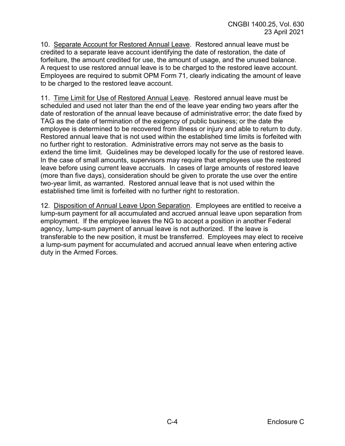10. Separate Account for Restored Annual Leave. Restored annual leave must be credited to a separate leave account identifying the date of restoration, the date of forfeiture, the amount credited for use, the amount of usage, and the unused balance. A request to use restored annual leave is to be charged to the restored leave account. Employees are required to submit OPM Form 71, clearly indicating the amount of leave to be charged to the restored leave account.

11. Time Limit for Use of Restored Annual Leave. Restored annual leave must be scheduled and used not later than the end of the leave year ending two years after the date of restoration of the annual leave because of administrative error; the date fixed by TAG as the date of termination of the exigency of public business; or the date the employee is determined to be recovered from illness or injury and able to return to duty. Restored annual leave that is not used within the established time limits is forfeited with no further right to restoration. Administrative errors may not serve as the basis to extend the time limit. Guidelines may be developed locally for the use of restored leave. In the case of small amounts, supervisors may require that employees use the restored leave before using current leave accruals. In cases of large amounts of restored leave (more than five days), consideration should be given to prorate the use over the entire two-year limit, as warranted. Restored annual leave that is not used within the established time limit is forfeited with no further right to restoration.

12. Disposition of Annual Leave Upon Separation. Employees are entitled to receive a lump-sum payment for all accumulated and accrued annual leave upon separation from employment. If the employee leaves the NG to accept a position in another Federal agency, lump-sum payment of annual leave is not authorized. If the leave is transferable to the new position, it must be transferred. Employees may elect to receive a lump-sum payment for accumulated and accrued annual leave when entering active duty in the Armed Forces.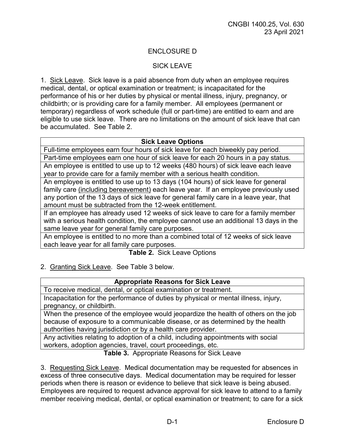# ENCLOSURE D

## SICK LEAVE

1. Sick Leave. Sick leave is a paid absence from duty when an employee requires medical, dental, or optical examination or treatment; is incapacitated for the performance of his or her duties by physical or mental illness, injury, pregnancy, or childbirth; or is providing care for a family member. All employees (permanent or temporary) regardless of work schedule (full or part-time) are entitled to earn and are eligible to use sick leave. There are no limitations on the amount of sick leave that can be accumulated. See Table 2.

#### **Sick Leave Options**

Full-time employees earn four hours of sick leave for each biweekly pay period.

Part-time employees earn one hour of sick leave for each 20 hours in a pay status. An employee is entitled to use up to 12 weeks (480 hours) of sick leave each leave year to provide care for a family member with a serious health condition.

An employee is entitled to use up to 13 days (104 hours) of sick leave for general family care (including bereavement) each leave year. If an employee previously used any portion of the 13 days of sick leave for general family care in a leave year, that amount must be subtracted from the 12-week entitlement.

If an employee has already used 12 weeks of sick leave to care for a family member with a serious health condition, the employee cannot use an additional 13 days in the same leave year for general family care purposes.

An employee is entitled to no more than a combined total of 12 weeks of sick leave each leave year for all family care purposes.

**Table 2.** Sick Leave Options

2. Granting Sick Leave. See Table 3 below.

### **Appropriate Reasons for Sick Leave**

To receive medical, dental, or optical examination or treatment.

Incapacitation for the performance of duties by physical or mental illness, injury, pregnancy, or childbirth.

When the presence of the employee would jeopardize the health of others on the job because of exposure to a communicable disease, or as determined by the health authorities having jurisdiction or by a health care provider.

Any activities relating to adoption of a child, including appointments with social workers, adoption agencies, travel, court proceedings, etc.

**Table 3.** Appropriate Reasons for Sick Leave

3. Requesting Sick Leave. Medical documentation may be requested for absences in excess of three consecutive days. Medical documentation may be required for lesser periods when there is reason or evidence to believe that sick leave is being abused. Employees are required to request advance approval for sick leave to attend to a family member receiving medical, dental, or optical examination or treatment; to care for a sick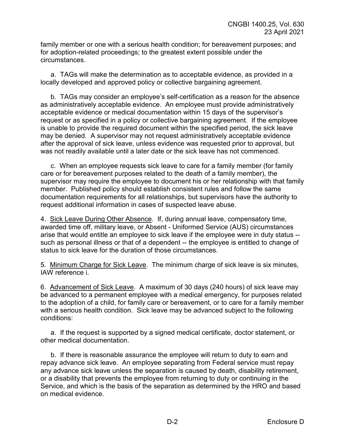family member or one with a serious health condition; for bereavement purposes; and for adoption-related proceedings; to the greatest extent possible under the circumstances.

a. TAGs will make the determination as to acceptable evidence, as provided in a locally developed and approved policy or collective bargaining agreement.

b. TAGs may consider an employee's self-certification as a reason for the absence as administratively acceptable evidence. An employee must provide administratively acceptable evidence or medical documentation within 15 days of the supervisor's request or as specified in a policy or collective bargaining agreement. If the employee is unable to provide the required document within the specified period, the sick leave may be denied. A supervisor may not request administratively acceptable evidence after the approval of sick leave, unless evidence was requested prior to approval, but was not readily available until a later date or the sick leave has not commenced.

c. When an employee requests sick leave to care for a family member (for family care or for bereavement purposes related to the death of a family member), the supervisor may require the employee to document his or her relationship with that family member. Published policy should establish consistent rules and follow the same documentation requirements for all relationships, but supervisors have the authority to request additional information in cases of suspected leave abuse.

4. Sick Leave During Other Absence. If, during annual leave, compensatory time, awarded time off, military leave, or Absent - Uniformed Service (AUS) circumstances arise that would entitle an employee to sick leave if the employee were in duty status - such as personal illness or that of a dependent -- the employee is entitled to change of status to sick leave for the duration of those circumstances.

5. Minimum Charge for Sick Leave. The minimum charge of sick leave is six minutes, IAW reference i.

6. Advancement of Sick Leave. A maximum of 30 days (240 hours) of sick leave may be advanced to a permanent employee with a medical emergency, for purposes related to the adoption of a child, for family care or bereavement, or to care for a family member with a serious health condition. Sick leave may be advanced subject to the following conditions:

a. If the request is supported by a signed medical certificate, doctor statement, or other medical documentation.

b. If there is reasonable assurance the employee will return to duty to earn and repay advance sick leave. An employee separating from Federal service must repay any advance sick leave unless the separation is caused by death, disability retirement, or a disability that prevents the employee from returning to duty or continuing in the Service, and which is the basis of the separation as determined by the HRO and based on medical evidence.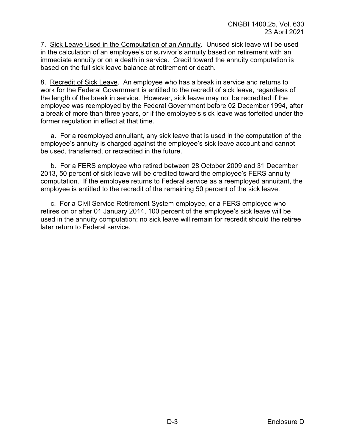7. Sick Leave Used in the Computation of an Annuity. Unused sick leave will be used in the calculation of an employee's or survivor's annuity based on retirement with an immediate annuity or on a death in service. Credit toward the annuity computation is based on the full sick leave balance at retirement or death.

8. Recredit of Sick Leave. An employee who has a break in service and returns to work for the Federal Government is entitled to the recredit of sick leave, regardless of the length of the break in service. However, sick leave may not be recredited if the employee was reemployed by the Federal Government before 02 December 1994, after a break of more than three years, or if the employee's sick leave was forfeited under the former regulation in effect at that time.

a. For a reemployed annuitant, any sick leave that is used in the computation of the employee's annuity is charged against the employee's sick leave account and cannot be used, transferred, or recredited in the future.

b. For a FERS employee who retired between 28 October 2009 and 31 December 2013, 50 percent of sick leave will be credited toward the employee's FERS annuity computation. If the employee returns to Federal service as a reemployed annuitant, the employee is entitled to the recredit of the remaining 50 percent of the sick leave.

c. For a Civil Service Retirement System employee, or a FERS employee who retires on or after 01 January 2014, 100 percent of the employee's sick leave will be used in the annuity computation; no sick leave will remain for recredit should the retiree later return to Federal service.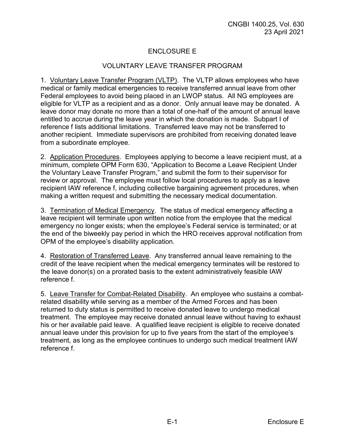# ENCLOSURE E

### VOLUNTARY LEAVE TRANSFER PROGRAM

1. Voluntary Leave Transfer Program (VLTP). The VLTP allows employees who have medical or family medical emergencies to receive transferred annual leave from other Federal employees to avoid being placed in an LWOP status. All NG employees are eligible for VLTP as a recipient and as a donor. Only annual leave may be donated. A leave donor may donate no more than a total of one-half of the amount of annual leave entitled to accrue during the leave year in which the donation is made. Subpart I of reference f lists additional limitations. Transferred leave may not be transferred to another recipient. Immediate supervisors are prohibited from receiving donated leave from a subordinate employee.

2. Application Procedures. Employees applying to become a leave recipient must, at a minimum, complete OPM Form 630, "Application to Become a Leave Recipient Under the Voluntary Leave Transfer Program," and submit the form to their supervisor for review or approval. The employee must follow local procedures to apply as a leave recipient IAW reference f, including collective bargaining agreement procedures, when making a written request and submitting the necessary medical documentation.

3. Termination of Medical Emergency. The status of medical emergency affecting a leave recipient will terminate upon written notice from the employee that the medical emergency no longer exists; when the employee's Federal service is terminated; or at the end of the biweekly pay period in which the HRO receives approval notification from OPM of the employee's disability application.

4. Restoration of Transferred Leave. Any transferred annual leave remaining to the credit of the leave recipient when the medical emergency terminates will be restored to the leave donor(s) on a prorated basis to the extent administratively feasible IAW reference f.

5.Leave Transfer for Combat-Related Disability. An employee who sustains a combatrelated disability while serving as a member of the Armed Forces and has been returned to duty status is permitted to receive donated leave to undergo medical treatment. The employee may receive donated annual leave without having to exhaust his or her available paid leave. A qualified leave recipient is eligible to receive donated annual leave under this provision for up to five years from the start of the employee's treatment, as long as the employee continues to undergo such medical treatment IAW reference f.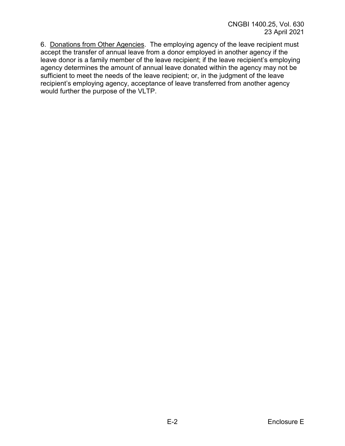6. Donations from Other Agencies. The employing agency of the leave recipient must accept the transfer of annual leave from a donor employed in another agency if the leave donor is a family member of the leave recipient; if the leave recipient's employing agency determines the amount of annual leave donated within the agency may not be sufficient to meet the needs of the leave recipient; or, in the judgment of the leave recipient's employing agency, acceptance of leave transferred from another agency would further the purpose of the VLTP.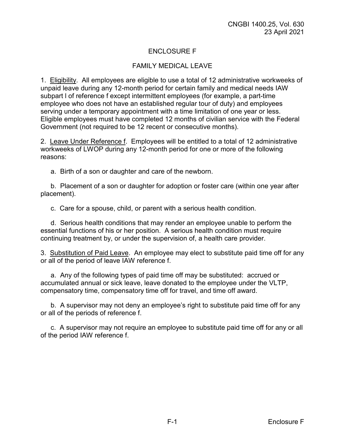# ENCLOSURE F

# FAMILY MEDICAL LEAVE

1. Eligibility. All employees are eligible to use a total of 12 administrative workweeks of unpaid leave during any 12-month period for certain family and medical needs IAW subpart l of reference f except intermittent employees (for example, a part-time employee who does not have an established regular tour of duty) and employees serving under a temporary appointment with a time limitation of one year or less. Eligible employees must have completed 12 months of civilian service with the Federal Government (not required to be 12 recent or consecutive months).

2. Leave Under Reference f. Employees will be entitled to a total of 12 administrative workweeks of LWOP during any 12-month period for one or more of the following reasons:

a. Birth of a son or daughter and care of the newborn.

b. Placement of a son or daughter for adoption or foster care (within one year after placement).

c. Care for a spouse, child, or parent with a serious health condition.

d. Serious health conditions that may render an employee unable to perform the essential functions of his or her position. A serious health condition must require continuing treatment by, or under the supervision of, a health care provider.

3. Substitution of Paid Leave. An employee may elect to substitute paid time off for any or all of the period of leave IAW reference f.

a. Any of the following types of paid time off may be substituted: accrued or accumulated annual or sick leave, leave donated to the employee under the VLTP, compensatory time, compensatory time off for travel, and time off award.

b. A supervisor may not deny an employee's right to substitute paid time off for any or all of the periods of reference f.

c. A supervisor may not require an employee to substitute paid time off for any or all of the period IAW reference f.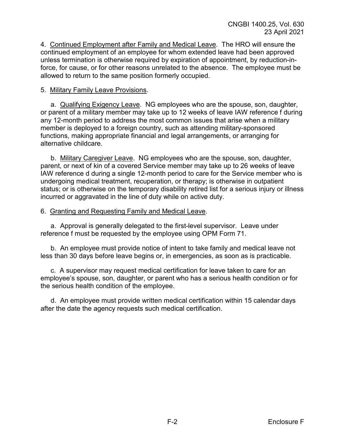4. Continued Employment after Family and Medical Leave. The HRO will ensure the continued employment of an employee for whom extended leave had been approved unless termination is otherwise required by expiration of appointment, by reduction-inforce, for cause, or for other reasons unrelated to the absence. The employee must be allowed to return to the same position formerly occupied.

## 5. Military Family Leave Provisions.

a. Qualifying Exigency Leave. NG employees who are the spouse, son, daughter, or parent of a military member may take up to 12 weeks of leave IAW reference f during any 12-month period to address the most common issues that arise when a military member is deployed to a foreign country, such as attending military-sponsored functions, making appropriate financial and legal arrangements, or arranging for alternative childcare.

b. Military Caregiver Leave. NG employees who are the spouse, son, daughter, parent, or next of kin of a covered Service member may take up to 26 weeks of leave IAW reference d during a single 12-month period to care for the Service member who is undergoing medical treatment, recuperation, or therapy; is otherwise in outpatient status; or is otherwise on the temporary disability retired list for a serious injury or illness incurred or aggravated in the line of duty while on active duty.

## 6. Granting and Requesting Family and Medical Leave.

a. Approval is generally delegated to the first-level supervisor. Leave under reference f must be requested by the employee using OPM Form 71.

b. An employee must provide notice of intent to take family and medical leave not less than 30 days before leave begins or, in emergencies, as soon as is practicable.

c. A supervisor may request medical certification for leave taken to care for an employee's spouse, son, daughter, or parent who has a serious health condition or for the serious health condition of the employee.

d. An employee must provide written medical certification within 15 calendar days after the date the agency requests such medical certification.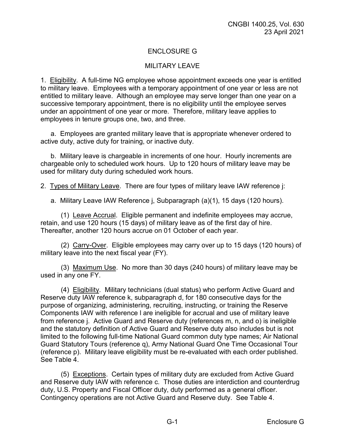# ENCLOSURE G

### MILITARY LEAVE

1. Eligibility. A full-time NG employee whose appointment exceeds one year is entitled to military leave. Employees with a temporary appointment of one year or less are not entitled to military leave. Although an employee may serve longer than one year on a successive temporary appointment, there is no eligibility until the employee serves under an appointment of one year or more. Therefore, military leave applies to employees in tenure groups one, two, and three.

a. Employees are granted military leave that is appropriate whenever ordered to active duty, active duty for training, or inactive duty.

b. Military leave is chargeable in increments of one hour. Hourly increments are chargeable only to scheduled work hours. Up to 120 hours of military leave may be used for military duty during scheduled work hours.

2. Types of Military Leave. There are four types of military leave IAW reference j:

a. Military Leave IAW Reference j, Subparagraph (a)(1), 15 days (120 hours).

(1) Leave Accrual. Eligible permanent and indefinite employees may accrue, retain, and use 120 hours (15 days) of military leave as of the first day of hire. Thereafter, another 120 hours accrue on 01 October of each year.

(2) Carry-Over. Eligible employees may carry over up to 15 days (120 hours) of military leave into the next fiscal year (FY).

(3) Maximum Use. No more than 30 days (240 hours) of military leave may be used in any one FY.

(4) Eligibility. Military technicians (dual status) who perform Active Guard and Reserve duty IAW reference k, subparagraph d, for 180 consecutive days for the purpose of organizing, administering, recruiting, instructing, or training the Reserve Components IAW with reference l are ineligible for accrual and use of military leave from reference j. Active Guard and Reserve duty (references m, n, and o) is ineligible and the statutory definition of Active Guard and Reserve duty also includes but is not limited to the following full-time National Guard common duty type names; Air National Guard Statutory Tours (reference q), Army National Guard One Time Occasional Tour (reference p). Military leave eligibility must be re-evaluated with each order published. See Table 4.

(5) Exceptions. Certain types of military duty are excluded from Active Guard and Reserve duty IAW with reference c. Those duties are interdiction and counterdrug duty, U.S. Property and Fiscal Officer duty, duty performed as a general officer. Contingency operations are not Active Guard and Reserve duty. See Table 4.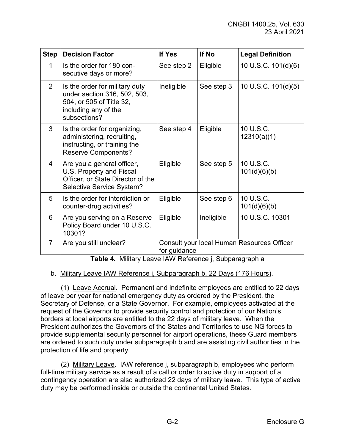| <b>Step</b>    | <b>Decision Factor</b>                                                                                                             | If Yes       | If No      | <b>Legal Definition</b>                    |
|----------------|------------------------------------------------------------------------------------------------------------------------------------|--------------|------------|--------------------------------------------|
| 1              | Is the order for 180 con-<br>secutive days or more?                                                                                | See step 2   | Eligible   | 10 U.S.C. 101(d)(6)                        |
| 2              | Is the order for military duty<br>under section 316, 502, 503,<br>504, or 505 of Title 32,<br>including any of the<br>subsections? | Ineligible   | See step 3 | 10 U.S.C. 101(d)(5)                        |
| 3              | Is the order for organizing,<br>administering, recruiting,<br>instructing, or training the<br><b>Reserve Components?</b>           | See step 4   | Eligible   | 10 U.S.C.<br>12310(a)(1)                   |
| 4              | Are you a general officer,<br>U.S. Property and Fiscal<br>Officer, or State Director of the<br>Selective Service System?           | Eligible     | See step 5 | 10 U.S.C.<br>101(d)(6)(b)                  |
| 5              | Is the order for interdiction or<br>counter-drug activities?                                                                       | Eligible     | See step 6 | 10 U.S.C.<br>101(d)(6)(b)                  |
| 6              | Are you serving on a Reserve<br>Policy Board under 10 U.S.C.<br>10301?                                                             | Eligible     | Ineligible | 10 U.S.C. 10301                            |
| $\overline{7}$ | Are you still unclear?                                                                                                             | for guidance |            | Consult your local Human Resources Officer |

**Table 4.** Military Leave IAW Reference j, Subparagraph a

### b. Military Leave IAW Reference j, Subparagraph b, 22 Days (176 Hours).

(1) Leave Accrual. Permanent and indefinite employees are entitled to 22 days of leave per year for national emergency duty as ordered by the President, the Secretary of Defense, or a State Governor. For example, employees activated at the request of the Governor to provide security control and protection of our Nation's borders at local airports are entitled to the 22 days of military leave. When the President authorizes the Governors of the States and Territories to use NG forces to provide supplemental security personnel for airport operations, these Guard members are ordered to such duty under subparagraph b and are assisting civil authorities in the protection of life and property.

(2) Military Leave. IAW reference j, subparagraph b, employees who perform full-time military service as a result of a call or order to active duty in support of a contingency operation are also authorized 22 days of military leave. This type of active duty may be performed inside or outside the continental United States.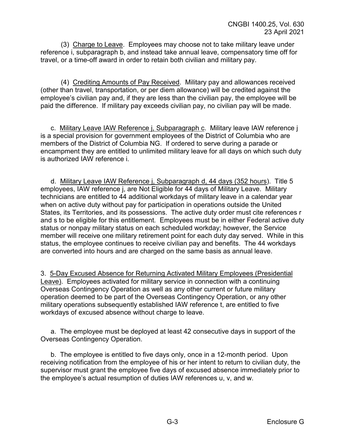(3) Charge to Leave. Employees may choose not to take military leave under reference i, subparagraph b, and instead take annual leave, compensatory time off for travel, or a time-off award in order to retain both civilian and military pay.

(4) Crediting Amounts of Pay Received. Military pay and allowances received (other than travel, transportation, or per diem allowance) will be credited against the employee's civilian pay and, if they are less than the civilian pay, the employee will be paid the difference. If military pay exceeds civilian pay, no civilian pay will be made.

c. Military Leave IAW Reference j, Subparagraph c. Military leave IAW reference j is a special provision for government employees of the District of Columbia who are members of the District of Columbia NG. If ordered to serve during a parade or encampment they are entitled to unlimited military leave for all days on which such duty is authorized IAW reference i.

d. Military Leave IAW Reference j, Subparagraph d, 44 days (352 hours). Title 5 employees, IAW reference j, are Not Eligible for 44 days of Military Leave. Military technicians are entitled to 44 additional workdays of military leave in a calendar year when on active duty without pay for participation in operations outside the United States, its Territories, and its possessions. The active duty order must cite references r and s to be eligible for this entitlement. Employees must be in either Federal active duty status or nonpay military status on each scheduled workday; however, the Service member will receive one military retirement point for each duty day served. While in this status, the employee continues to receive civilian pay and benefits. The 44 workdays are converted into hours and are charged on the same basis as annual leave.

3. 5-Day Excused Absence for Returning Activated Military Employees (Presidential Leave). Employees activated for military service in connection with a continuing Overseas Contingency Operation as well as any other current or future military operation deemed to be part of the Overseas Contingency Operation, or any other military operations subsequently established IAW reference t, are entitled to five workdays of excused absence without charge to leave.

a. The employee must be deployed at least 42 consecutive days in support of the Overseas Contingency Operation.

b. The employee is entitled to five days only, once in a 12-month period. Upon receiving notification from the employee of his or her intent to return to civilian duty, the supervisor must grant the employee five days of excused absence immediately prior to the employee's actual resumption of duties IAW references u, v, and w.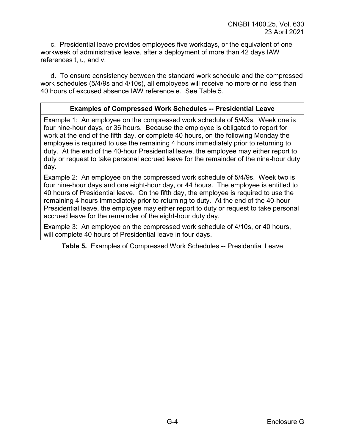c. Presidential leave provides employees five workdays, or the equivalent of one workweek of administrative leave, after a deployment of more than 42 days IAW references t, u, and v.

d. To ensure consistency between the standard work schedule and the compressed work schedules (5/4/9s and 4/10s), all employees will receive no more or no less than 40 hours of excused absence IAW reference e. See Table 5.

## **Examples of Compressed Work Schedules -- Presidential Leave**

Example 1: An employee on the compressed work schedule of 5/4/9s. Week one is four nine-hour days, or 36 hours. Because the employee is obligated to report for work at the end of the fifth day, or complete 40 hours, on the following Monday the employee is required to use the remaining 4 hours immediately prior to returning to duty. At the end of the 40-hour Presidential leave, the employee may either report to duty or request to take personal accrued leave for the remainder of the nine-hour duty day.

Example 2: An employee on the compressed work schedule of 5/4/9s. Week two is four nine-hour days and one eight-hour day, or 44 hours. The employee is entitled to 40 hours of Presidential leave. On the fifth day, the employee is required to use the remaining 4 hours immediately prior to returning to duty. At the end of the 40-hour Presidential leave, the employee may either report to duty or request to take personal accrued leave for the remainder of the eight-hour duty day.

Example 3: An employee on the compressed work schedule of 4/10s, or 40 hours, will complete 40 hours of Presidential leave in four days.

**Table 5.** Examples of Compressed Work Schedules -- Presidential Leave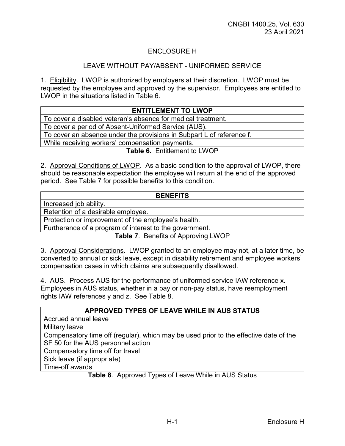# ENCLOSURE H

#### LEAVE WITHOUT PAY/ABSENT - UNIFORMED SERVICE

1. Eligibility. LWOP is authorized by employers at their discretion. LWOP must be requested by the employee and approved by the supervisor. Employees are entitled to LWOP in the situations listed in Table 6.

| <b>ENTITLEMENT TO LWOP</b>                                            |  |
|-----------------------------------------------------------------------|--|
| To cover a disabled veteran's absence for medical treatment.          |  |
| To cover a period of Absent-Uniformed Service (AUS).                  |  |
| To cover an absence under the provisions in Subpart L of reference f. |  |
| While receiving workers' compensation payments.                       |  |
| <b>Table 6. Entitlement to LWOP</b>                                   |  |

2. Approval Conditions of LWOP. As a basic condition to the approval of LWOP, there should be reasonable expectation the employee will return at the end of the approved period. See Table 7 for possible benefits to this condition.

| <b>BENEFITS</b>                                         |  |
|---------------------------------------------------------|--|
| Increased job ability.                                  |  |
| Retention of a desirable employee.                      |  |
| Protection or improvement of the employee's health.     |  |
| Furtherance of a program of interest to the government. |  |

**Table 7**. Benefits of Approving LWOP

3. Approval Considerations. LWOP granted to an employee may not, at a later time, be converted to annual or sick leave, except in disability retirement and employee workers' compensation cases in which claims are subsequently disallowed.

4. AUS. Process AUS for the performance of uniformed service IAW reference x. Employees in AUS status, whether in a pay or non-pay status, have reemployment rights IAW references y and z. See Table 8.

**Table 8**. Approved Types of Leave While in AUS Status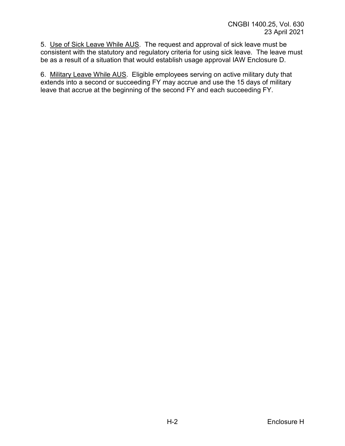5. Use of Sick Leave While AUS. The request and approval of sick leave must be consistent with the statutory and regulatory criteria for using sick leave. The leave must be as a result of a situation that would establish usage approval IAW Enclosure D.

6. Military Leave While AUS. Eligible employees serving on active military duty that extends into a second or succeeding FY may accrue and use the 15 days of military leave that accrue at the beginning of the second FY and each succeeding FY.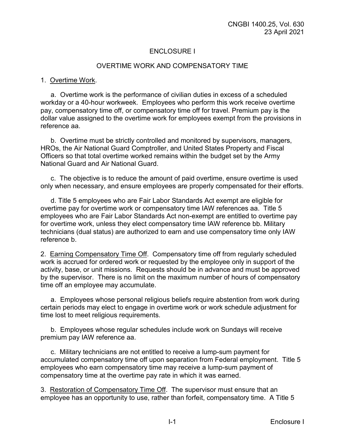# ENCLOSURE I

#### OVERTIME WORK AND COMPENSATORY TIME

#### 1. Overtime Work.

a. Overtime work is the performance of civilian duties in excess of a scheduled workday or a 40-hour workweek. Employees who perform this work receive overtime pay, compensatory time off, or compensatory time off for travel. Premium pay is the dollar value assigned to the overtime work for employees exempt from the provisions in reference aa.

b. Overtime must be strictly controlled and monitored by supervisors, managers, HROs, the Air National Guard Comptroller, and United States Property and Fiscal Officers so that total overtime worked remains within the budget set by the Army National Guard and Air National Guard.

c. The objective is to reduce the amount of paid overtime, ensure overtime is used only when necessary, and ensure employees are properly compensated for their efforts.

d. Title 5 employees who are Fair Labor Standards Act exempt are eligible for overtime pay for overtime work or compensatory time IAW references aa. Title 5 employees who are Fair Labor Standards Act non-exempt are entitled to overtime pay for overtime work, unless they elect compensatory time IAW reference bb. Military technicians (dual status) are authorized to earn and use compensatory time only IAW reference b.

2. Earning Compensatory Time Off. Compensatory time off from regularly scheduled work is accrued for ordered work or requested by the employee only in support of the activity, base, or unit missions. Requests should be in advance and must be approved by the supervisor. There is no limit on the maximum number of hours of compensatory time off an employee may accumulate.

a. Employees whose personal religious beliefs require abstention from work during certain periods may elect to engage in overtime work or work schedule adjustment for time lost to meet religious requirements.

b. Employees whose regular schedules include work on Sundays will receive premium pay IAW reference aa.

c. Military technicians are not entitled to receive a lump-sum payment for accumulated compensatory time off upon separation from Federal employment. Title 5 employees who earn compensatory time may receive a lump-sum payment of compensatory time at the overtime pay rate in which it was earned.

3. Restoration of Compensatory Time Off. The supervisor must ensure that an employee has an opportunity to use, rather than forfeit, compensatory time. A Title 5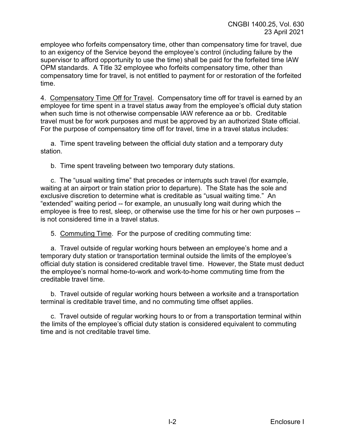employee who forfeits compensatory time, other than compensatory time for travel, due to an exigency of the Service beyond the employee's control (including failure by the supervisor to afford opportunity to use the time) shall be paid for the forfeited time IAW OPM standards. A Title 32 employee who forfeits compensatory time, other than compensatory time for travel, is not entitled to payment for or restoration of the forfeited time.

4. Compensatory Time Off for Travel. Compensatory time off for travel is earned by an employee for time spent in a travel status away from the employee's official duty station when such time is not otherwise compensable IAW reference aa or bb. Creditable travel must be for work purposes and must be approved by an authorized State official. For the purpose of compensatory time off for travel, time in a travel status includes:

a. Time spent traveling between the official duty station and a temporary duty station.

b. Time spent traveling between two temporary duty stations.

c. The "usual waiting time" that precedes or interrupts such travel (for example, waiting at an airport or train station prior to departure). The State has the sole and exclusive discretion to determine what is creditable as "usual waiting time." An "extended" waiting period -- for example, an unusually long wait during which the employee is free to rest, sleep, or otherwise use the time for his or her own purposes - is not considered time in a travel status.

5. Commuting Time. For the purpose of crediting commuting time:

a. Travel outside of regular working hours between an employee's home and a temporary duty station or transportation terminal outside the limits of the employee's official duty station is considered creditable travel time. However, the State must deduct the employee's normal home-to-work and work-to-home commuting time from the creditable travel time.

b. Travel outside of regular working hours between a worksite and a transportation terminal is creditable travel time, and no commuting time offset applies.

c. Travel outside of regular working hours to or from a transportation terminal within the limits of the employee's official duty station is considered equivalent to commuting time and is not creditable travel time.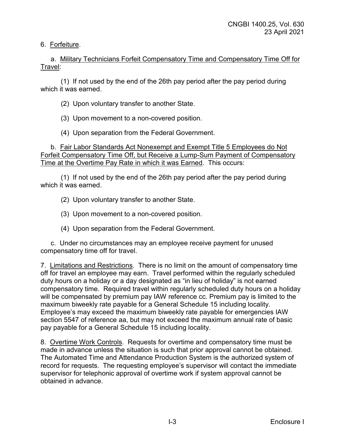## 6. Forfeiture.

a. Military Technicians Forfeit Compensatory Time and Compensatory Time Off for Travel:

(1) If not used by the end of the 26th pay period after the pay period during which it was earned.

(2) Upon voluntary transfer to another State.

(3) Upon movement to a non-covered position.

(4) Upon separation from the Federal Government.

b. Fair Labor Standards Act Nonexempt and Exempt Title 5 Employees do Not Forfeit Compensatory Time Off, but Receive a Lump-Sum Payment of Compensatory Time at the Overtime Pay Rate in which it was Earned. This occurs:

(1) If not used by the end of the 26th pay period after the pay period during which it was earned.

(2) Upon voluntary transfer to another State.

(3) Upon movement to a non-covered position.

(4) Upon separation from the Federal Government.

c. Under no circumstances may an employee receive payment for unused compensatory time off for travel.

7. Limitations and Restrictions. There is no limit on the amount of compensatory time off for travel an employee may earn. Travel performed within the regularly scheduled duty hours on a holiday or a day designated as "in lieu of holiday" is not earned compensatory time. Required travel within regularly scheduled duty hours on a holiday will be compensated by premium pay IAW reference cc. Premium pay is limited to the maximum biweekly rate payable for a General Schedule 15 including locality. Employee's may exceed the maximum biweekly rate payable for emergencies IAW section 5547 of reference aa, but may not exceed the maximum annual rate of basic pay payable for a General Schedule 15 including locality.

8. Overtime Work Controls. Requests for overtime and compensatory time must be made in advance unless the situation is such that prior approval cannot be obtained. The Automated Time and Attendance Production System is the authorized system of record for requests. The requesting employee's supervisor will contact the immediate supervisor for telephonic approval of overtime work if system approval cannot be obtained in advance.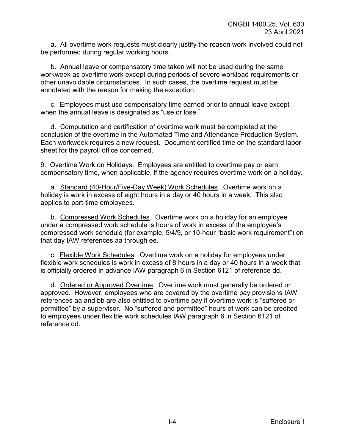a. All overtime work requests must clearly justify the reason work involved could not be performed during regular working hours.

b. Annual leave or compensatory time taken will not be used during the same workweek as overtime work except during periods of severe workload requirements or other unavoidable circumstances. In such cases, the overtime request must be annotated with the reason for making the exception.

c. Employees must use compensatory time earned prior to annual leave except when the annual leave is designated as "use or lose."

d. Computation and certification of overtime work must be completed at the conclusion of the overtime in the Automated Time and Attendance Production System. Each workweek requires a new request. Document certified time on the standard labor sheet for the payroll office concerned.

9. Overtime Work on Holidays. Employees are entitled to overtime pay or earn compensatory time, when applicable, if the agency requires overtime work on a holiday.

a. Standard (40-Hour/Five-Day Week) Work Schedules. Overtime work on a holiday is work in excess of eight hours in a day or 40 hours in a week. This also applies to part-time employees.

b. Compressed Work Schedules. Overtime work on a holiday for an employee under a compressed work schedule is hours of work in excess of the employee's compressed work schedule (for example, 5/4/9, or 10-hour "basic work requirement") on that day IAW references aa through ee.

c. Flexible Work Schedules. Overtime work on a holiday for employees under flexible work schedules is work in excess of 8 hours in a day or 40 hours in a week that is officially ordered in advance IAW paragraph 6 in Section 6121 of reference dd.

d. Ordered or Approved Overtime. Overtime work must generally be ordered or approved. However, employees who are covered by the overtime pay provisions IAW references aa and bb are also entitled to overtime pay if overtime work is "suffered or permitted" by a supervisor. No "suffered and permitted" hours of work can be credited to employees under flexible work schedules IAW paragraph 6 in Section 6121 of reference dd.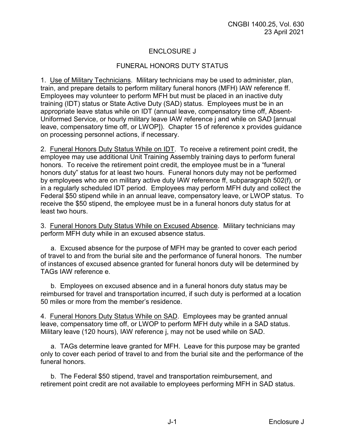# ENCLOSURE J

### FUNERAL HONORS DUTY STATUS

1. Use of Military Technicians. Military technicians may be used to administer, plan, train, and prepare details to perform military funeral honors (MFH) IAW reference ff. Employees may volunteer to perform MFH but must be placed in an inactive duty training (IDT) status or State Active Duty (SAD) status. Employees must be in an appropriate leave status while on IDT (annual leave, compensatory time off, Absent-Uniformed Service, or hourly military leave IAW reference j and while on SAD [annual leave, compensatory time off, or LWOP]). Chapter 15 of reference x provides guidance on processing personnel actions, if necessary.

2. Funeral Honors Duty Status While on IDT. To receive a retirement point credit, the employee may use additional Unit Training Assembly training days to perform funeral honors. To receive the retirement point credit, the employee must be in a "funeral honors duty" status for at least two hours. Funeral honors duty may not be performed by employees who are on military active duty IAW reference ff, subparagraph 502(f), or in a regularly scheduled IDT period. Employees may perform MFH duty and collect the Federal \$50 stipend while in an annual leave, compensatory leave, or LWOP status. To receive the \$50 stipend, the employee must be in a funeral honors duty status for at least two hours.

3. Funeral Honors Duty Status While on Excused Absence. Military technicians may perform MFH duty while in an excused absence status.

a. Excused absence for the purpose of MFH may be granted to cover each period of travel to and from the burial site and the performance of funeral honors. The number of instances of excused absence granted for funeral honors duty will be determined by TAGs IAW reference e.

b. Employees on excused absence and in a funeral honors duty status may be reimbursed for travel and transportation incurred, if such duty is performed at a location 50 miles or more from the member's residence.

4. Funeral Honors Duty Status While on SAD. Employees may be granted annual leave, compensatory time off, or LWOP to perform MFH duty while in a SAD status. Military leave (120 hours), IAW reference j, may not be used while on SAD.

a. TAGs determine leave granted for MFH. Leave for this purpose may be granted only to cover each period of travel to and from the burial site and the performance of the funeral honors.

b. The Federal \$50 stipend, travel and transportation reimbursement, and retirement point credit are not available to employees performing MFH in SAD status.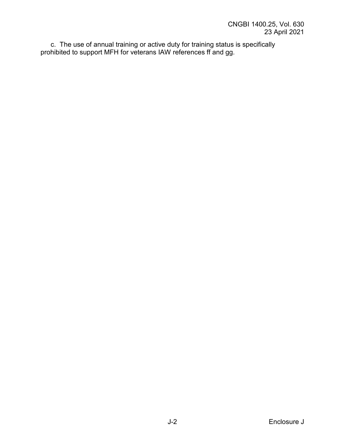c. The use of annual training or active duty for training status is specifically prohibited to support MFH for veterans IAW references ff and gg.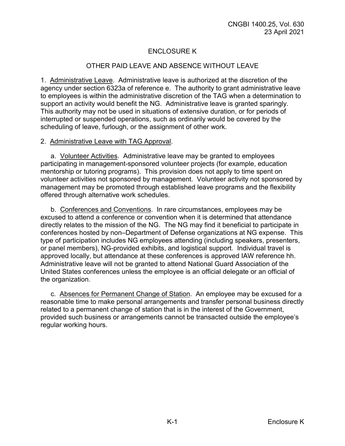# ENCLOSURE K

## OTHER PAID LEAVE AND ABSENCE WITHOUT LEAVE

1. Administrative Leave. Administrative leave is authorized at the discretion of the agency under section 6323a of reference e. The authority to grant administrative leave to employees is within the administrative discretion of the TAG when a determination to support an activity would benefit the NG. Administrative leave is granted sparingly. This authority may not be used in situations of extensive duration, or for periods of interrupted or suspended operations, such as ordinarily would be covered by the scheduling of leave, furlough, or the assignment of other work.

### 2.Administrative Leave with TAG Approval.

a. Volunteer Activities. Administrative leave may be granted to employees participating in management-sponsored volunteer projects (for example, education mentorship or tutoring programs). This provision does not apply to time spent on volunteer activities not sponsored by management. Volunteer activity not sponsored by management may be promoted through established leave programs and the flexibility offered through alternative work schedules.

b. Conferences and Conventions. In rare circumstances, employees may be excused to attend a conference or convention when it is determined that attendance directly relates to the mission of the NG. The NG may find it beneficial to participate in conferences hosted by non–Department of Defense organizations at NG expense. This type of participation includes NG employees attending (including speakers, presenters, or panel members), NG-provided exhibits, and logistical support. Individual travel is approved locally, but attendance at these conferences is approved IAW reference hh. Administrative leave will not be granted to attend National Guard Association of the United States conferences unless the employee is an official delegate or an official of the organization.

c. Absences for Permanent Change of Station. An employee may be excused for a reasonable time to make personal arrangements and transfer personal business directly related to a permanent change of station that is in the interest of the Government, provided such business or arrangements cannot be transacted outside the employee's regular working hours.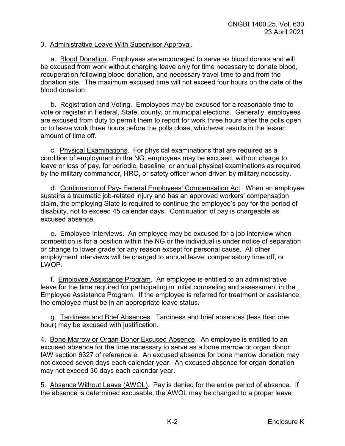#### 3. Administrative Leave With Supervisor Approval.

a. Blood Donation. Employees are encouraged to serve as blood donors and will be excused from work without charging leave only for time necessary to donate blood, recuperation following blood donation, and necessary travel time to and from the donation site. The maximum excused time will not exceed four hours on the date of the blood donation.

b. Registration and Voting. Employees may be excused for a reasonable time to vote or register in Federal, State, county, or municipal elections. Generally, employees are excused from duty to permit them to report for work three hours after the polls open or to leave work three hours before the polls close, whichever results in the lesser amount of time off.

c. Physical Examinations. For physical examinations that are required as a condition of employment in the NG, employees may be excused, without charge to leave or loss of pay, for periodic, baseline, or annual physical examinations as required by the military commander, HRO, or safety officer when driven by military necessity.

d. Continuation of Pay- Federal Employees' Compensation Act. When an employee sustains a traumatic job-related injury and has an approved workers' compensation claim, the employing State is required to continue the employee's pay for the period of disability, not to exceed 45 calendar days. Continuation of pay is chargeable as excused absence.

e. Employee Interviews. An employee may be excused for a job interview when competition is for a position within the NG or the individual is under notice of separation or change to lower grade for any reason except for personal cause. All other employment interviews will be charged to annual leave, compensatory time off, or LWOP.

f. Employee Assistance Program. An employee is entitled to an administrative leave for the time required for participating in initial counseling and assessment in the Employee Assistance Program. If the employee is referred for treatment or assistance, the employee must be in an appropriate leave status.

g. Tardiness and Brief Absences. Tardiness and brief absences (less than one hour) may be excused with justification.

4. Bone Marrow or Organ Donor Excused Absence. An employee is entitled to an excused absence for the time necessary to serve as a bone marrow or organ donor IAW section 6327 of reference e. An excused absence for bone marrow donation may not exceed seven days each calendar year. An excused absence for organ donation may not exceed 30 days each calendar year.

5. Absence Without Leave (AWOL). Pay is denied for the entire period of absence. If the absence is determined excusable, the AWOL may be changed to a proper leave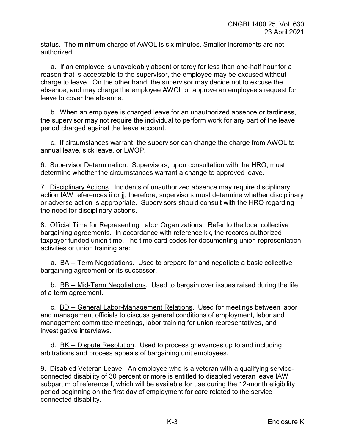status. The minimum charge of AWOL is six minutes. Smaller increments are not authorized.

a. If an employee is unavoidably absent or tardy for less than one-half hour for a reason that is acceptable to the supervisor, the employee may be excused without charge to leave. On the other hand, the supervisor may decide not to excuse the absence, and may charge the employee AWOL or approve an employee's request for leave to cover the absence.

b. When an employee is charged leave for an unauthorized absence or tardiness, the supervisor may not require the individual to perform work for any part of the leave period charged against the leave account.

c. If circumstances warrant, the supervisor can change the charge from AWOL to annual leave, sick leave, or LWOP.

6. Supervisor Determination. Supervisors, upon consultation with the HRO, must determine whether the circumstances warrant a change to approved leave.

7. Disciplinary Actions. Incidents of unauthorized absence may require disciplinary action IAW references ii or jj; therefore, supervisors must determine whether disciplinary or adverse action is appropriate. Supervisors should consult with the HRO regarding the need for disciplinary actions.

8. Official Time for Representing Labor Organizations. Refer to the local collective bargaining agreements. In accordance with reference kk, the records authorized taxpayer funded union time. The time card codes for documenting union representation activities or union training are:

a. BA -- Term Negotiations. Used to prepare for and negotiate a basic collective bargaining agreement or its successor.

b. BB -- Mid-Term Negotiations. Used to bargain over issues raised during the life of a term agreement.

c. BD -- General Labor-Management Relations. Used for meetings between labor and management officials to discuss general conditions of employment, labor and management committee meetings, labor training for union representatives, and investigative interviews.

d. BK -- Dispute Resolution. Used to process grievances up to and including arbitrations and process appeals of bargaining unit employees.

9. Disabled Veteran Leave. An employee who is a veteran with a qualifying serviceconnected disability of 30 percent or more is entitled to disabled veteran leave IAW subpart m of reference f, which will be available for use during the 12-month eligibility period beginning on the first day of employment for care related to the service connected disability.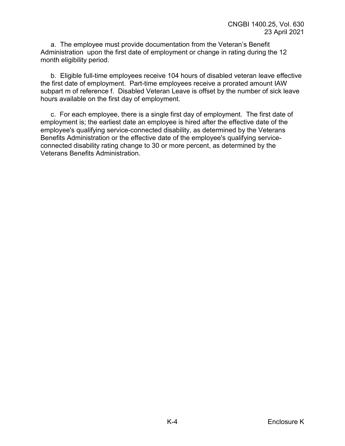a. The employee must provide documentation from the Veteran's Benefit Administration upon the first date of employment or change in rating during the 12 month eligibility period.

b. Eligible full-time employees receive 104 hours of disabled veteran leave effective the first date of employment. Part-time employees receive a prorated amount IAW subpart m of reference f. Disabled Veteran Leave is offset by the number of sick leave hours available on the first day of employment.

c. For each employee, there is a single first day of employment. The first date of employment is; the earliest date an employee is hired after the effective date of the employee's qualifying service-connected disability, as determined by the Veterans Benefits Administration or the effective date of the employee's qualifying serviceconnected disability rating change to 30 or more percent, as determined by the Veterans Benefits Administration.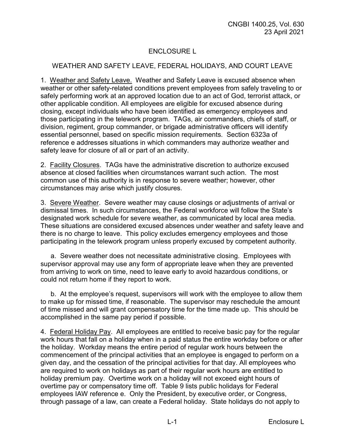# ENCLOSURE L

## WEATHER AND SAFETY LEAVE, FEDERAL HOLIDAYS, AND COURT LEAVE

1. Weather and Safety Leave. Weather and Safety Leave is excused absence when weather or other safety-related conditions prevent employees from safely traveling to or safely performing work at an approved location due to an act of God, terrorist attack, or other applicable condition. All employees are eligible for excused absence during closing, except individuals who have been identified as emergency employees and those participating in the telework program. TAGs, air commanders, chiefs of staff, or division, regiment, group commander, or brigade administrative officers will identify essential personnel, based on specific mission requirements. Section 6323a of reference e addresses situations in which commanders may authorize weather and safety leave for closure of all or part of an activity.

2. Facility Closures. TAGs have the administrative discretion to authorize excused absence at closed facilities when circumstances warrant such action. The most common use of this authority is in response to severe weather; however, other circumstances may arise which justify closures.

3. Severe Weather. Severe weather may cause closings or adjustments of arrival or dismissal times. In such circumstances, the Federal workforce will follow the State's designated work schedule for severe weather, as communicated by local area media. These situations are considered excused absences under weather and safety leave and there is no charge to leave. This policy excludes emergency employees and those participating in the telework program unless properly excused by competent authority.

a. Severe weather does not necessitate administrative closing. Employees with supervisor approval may use any form of appropriate leave when they are prevented from arriving to work on time, need to leave early to avoid hazardous conditions, or could not return home if they report to work.

b. At the employee's request, supervisors will work with the employee to allow them to make up for missed time, if reasonable. The supervisor may reschedule the amount of time missed and will grant compensatory time for the time made up. This should be accomplished in the same pay period if possible.

4. Federal Holiday Pay. All employees are entitled to receive basic pay for the regular work hours that fall on a holiday when in a paid status the entire workday before or after the holiday. Workday means the entire period of regular work hours between the commencement of the principal activities that an employee is engaged to perform on a given day, and the cessation of the principal activities for that day. All employees who are required to work on holidays as part of their regular work hours are entitled to holiday premium pay. Overtime work on a holiday will not exceed eight hours of overtime pay or compensatory time off. Table 9 lists public holidays for Federal employees IAW reference e. Only the President, by executive order, or Congress, through passage of a law, can create a Federal holiday. State holidays do not apply to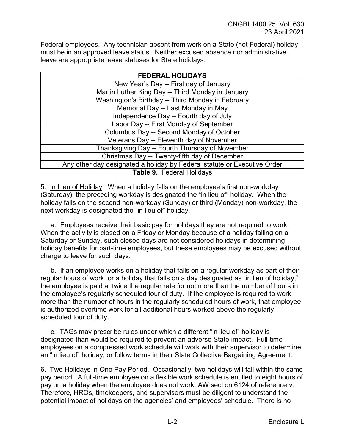Federal employees. Any technician absent from work on a State (not Federal) holiday must be in an approved leave status. Neither excused absence nor administrative leave are appropriate leave statuses for State holidays.

| <b>FEDERAL HOLIDAYS</b>                                                  |  |  |
|--------------------------------------------------------------------------|--|--|
| New Year's Day -- First day of January                                   |  |  |
| Martin Luther King Day -- Third Monday in January                        |  |  |
| Washington's Birthday -- Third Monday in February                        |  |  |
| Memorial Day -- Last Monday in May                                       |  |  |
| Independence Day -- Fourth day of July                                   |  |  |
| Labor Day -- First Monday of September                                   |  |  |
| Columbus Day -- Second Monday of October                                 |  |  |
| Veterans Day -- Eleventh day of November                                 |  |  |
| Thanksgiving Day -- Fourth Thursday of November                          |  |  |
| Christmas Day -- Twenty-fifth day of December                            |  |  |
| Any other day designated a holiday by Federal statute or Executive Order |  |  |
| Table 9. Federal Holidays                                                |  |  |

5. In Lieu of Holiday. When a holiday falls on the employee's first non-workday (Saturday), the preceding workday is designated the "in lieu of" holiday. When the holiday falls on the second non-workday (Sunday) or third (Monday) non-workday, the next workday is designated the "in lieu of" holiday.

a. Employees receive their basic pay for holidays they are not required to work. When the activity is closed on a Friday or Monday because of a holiday falling on a Saturday or Sunday, such closed days are not considered holidays in determining holiday benefits for part-time employees, but these employees may be excused without charge to leave for such days.

b. If an employee works on a holiday that falls on a regular workday as part of their regular hours of work, or a holiday that falls on a day designated as "in lieu of holiday," the employee is paid at twice the regular rate for not more than the number of hours in the employee's regularly scheduled tour of duty. If the employee is required to work more than the number of hours in the regularly scheduled hours of work, that employee is authorized overtime work for all additional hours worked above the regularly scheduled tour of duty.

c. TAGs may prescribe rules under which a different "in lieu of" holiday is designated than would be required to prevent an adverse State impact. Full-time employees on a compressed work schedule will work with their supervisor to determine an "in lieu of" holiday, or follow terms in their State Collective Bargaining Agreement.

6. Two Holidays in One Pay Period. Occasionally, two holidays will fall within the same pay period. A full-time employee on a flexible work schedule is entitled to eight hours of pay on a holiday when the employee does not work IAW section 6124 of reference v. Therefore, HROs, timekeepers, and supervisors must be diligent to understand the potential impact of holidays on the agencies' and employees' schedule. There is no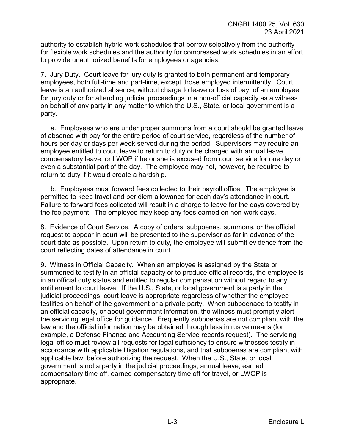authority to establish hybrid work schedules that borrow selectively from the authority for flexible work schedules and the authority for compressed work schedules in an effort to provide unauthorized benefits for employees or agencies.

7. Jury Duty. Court leave for jury duty is granted to both permanent and temporary employees, both full-time and part-time, except those employed intermittently. Court leave is an authorized absence, without charge to leave or loss of pay, of an employee for jury duty or for attending judicial proceedings in a non-official capacity as a witness on behalf of any party in any matter to which the U.S., State, or local government is a party.

a. Employees who are under proper summons from a court should be granted leave of absence with pay for the entire period of court service, regardless of the number of hours per day or days per week served during the period. Supervisors may require an employee entitled to court leave to return to duty or be charged with annual leave, compensatory leave, or LWOP if he or she is excused from court service for one day or even a substantial part of the day. The employee may not, however, be required to return to duty if it would create a hardship.

b. Employees must forward fees collected to their payroll office. The employee is permitted to keep travel and per diem allowance for each day's attendance in court. Failure to forward fees collected will result in a charge to leave for the days covered by the fee payment. The employee may keep any fees earned on non-work days.

8. Evidence of Court Service. A copy of orders, subpoenas, summons, or the official request to appear in court will be presented to the supervisor as far in advance of the court date as possible. Upon return to duty, the employee will submit evidence from the court reflecting dates of attendance in court.

9. Witness in Official Capacity. When an employee is assigned by the State or summoned to testify in an official capacity or to produce official records, the employee is in an official duty status and entitled to regular compensation without regard to any entitlement to court leave. If the U.S., State, or local government is a party in the judicial proceedings, court leave is appropriate regardless of whether the employee testifies on behalf of the government or a private party. When subpoenaed to testify in an official capacity, or about government information, the witness must promptly alert the servicing legal office for guidance. Frequently subpoenas are not compliant with the law and the official information may be obtained through less intrusive means (for example, a Defense Finance and Accounting Service records request). The servicing legal office must review all requests for legal sufficiency to ensure witnesses testify in accordance with applicable litigation regulations, and that subpoenas are compliant with applicable law, before authorizing the request. When the U.S., State, or local government is not a party in the judicial proceedings, annual leave, earned compensatory time off, earned compensatory time off for travel, or LWOP is appropriate.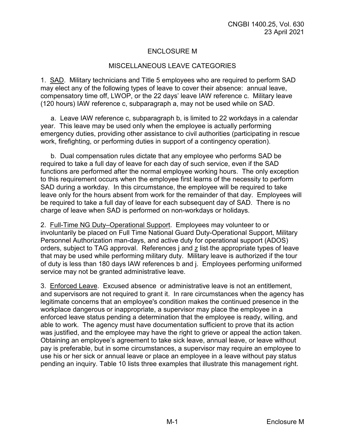# ENCLOSURE M

#### MISCELLANEOUS LEAVE CATEGORIES

1. SAD. Military technicians and Title 5 employees who are required to perform SAD may elect any of the following types of leave to cover their absence: annual leave, compensatory time off, LWOP, or the 22 days' leave IAW reference c. Military leave (120 hours) IAW reference c, subparagraph a, may not be used while on SAD.

a. Leave IAW reference c, subparagraph b, is limited to 22 workdays in a calendar year. This leave may be used only when the employee is actually performing emergency duties, providing other assistance to civil authorities (participating in rescue work, firefighting, or performing duties in support of a contingency operation).

b. Dual compensation rules dictate that any employee who performs SAD be required to take a full day of leave for each day of such service, even if the SAD functions are performed after the normal employee working hours. The only exception to this requirement occurs when the employee first learns of the necessity to perform SAD during a workday. In this circumstance, the employee will be required to take leave only for the hours absent from work for the remainder of that day. Employees will be required to take a full day of leave for each subsequent day of SAD. There is no charge of leave when SAD is performed on non-workdays or holidays.

2. Full-Time NG Duty–Operational Support. Employees may volunteer to or involuntarily be placed on Full Time National Guard Duty-Operational Support, Military Personnel Authorization man-days, and active duty for operational support (ADOS) orders, subject to TAG approval. References j and z list the appropriate types of leave that may be used while performing military duty. Military leave is authorized if the tour of duty is less than 180 days IAW references b and j. Employees performing uniformed service may not be granted administrative leave.

3. Enforced Leave. Excused absence or administrative leave is not an entitlement, and supervisors are not required to grant it. In rare circumstances when the agency has legitimate concerns that an employee's condition makes the continued presence in the workplace dangerous or inappropriate, a supervisor may place the employee in a enforced leave status pending a determination that the employee is ready, willing, and able to work. The agency must have documentation sufficient to prove that its action was justified, and the employee may have the right to grieve or appeal the action taken. Obtaining an employee's agreement to take sick leave, annual leave, or leave without pay is preferable, but in some circumstances, a supervisor may require an employee to use his or her sick or annual leave or place an employee in a leave without pay status pending an inquiry. Table 10 lists three examples that illustrate this management right.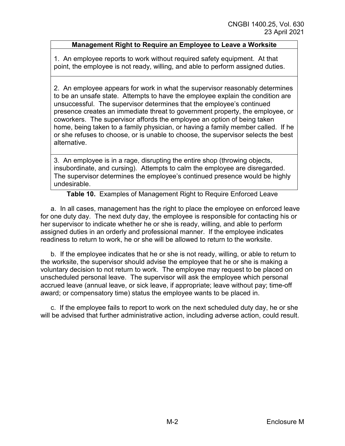## **Management Right to Require an Employee to Leave a Worksite**

1. An employee reports to work without required safety equipment. At that point, the employee is not ready, willing, and able to perform assigned duties.

2. An employee appears for work in what the supervisor reasonably determines to be an unsafe state. Attempts to have the employee explain the condition are unsuccessful. The supervisor determines that the employee's continued presence creates an immediate threat to government property, the employee, or coworkers. The supervisor affords the employee an option of being taken home, being taken to a family physician, or having a family member called. If he or she refuses to choose, or is unable to choose, the supervisor selects the best alternative.

3. An employee is in a rage, disrupting the entire shop (throwing objects, insubordinate, and cursing). Attempts to calm the employee are disregarded. The supervisor determines the employee's continued presence would be highly undesirable.

**Table 10.** Examples of Management Right to Require Enforced Leave

a. In all cases, management has the right to place the employee on enforced leave for one duty day. The next duty day, the employee is responsible for contacting his or her supervisor to indicate whether he or she is ready, willing, and able to perform assigned duties in an orderly and professional manner. If the employee indicates readiness to return to work, he or she will be allowed to return to the worksite.

b. If the employee indicates that he or she is not ready, willing, or able to return to the worksite, the supervisor should advise the employee that he or she is making a voluntary decision to not return to work. The employee may request to be placed on unscheduled personal leave. The supervisor will ask the employee which personal accrued leave (annual leave, or sick leave, if appropriate; leave without pay; time-off award; or compensatory time) status the employee wants to be placed in.

c. If the employee fails to report to work on the next scheduled duty day, he or she will be advised that further administrative action, including adverse action, could result.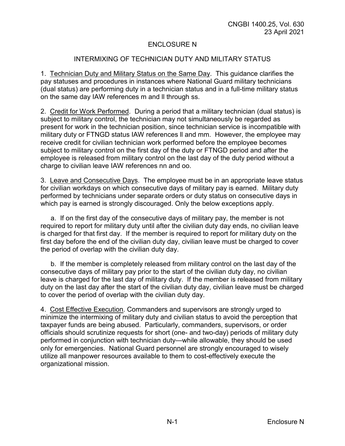## ENCLOSURE N

## INTERMIXING OF TECHNICIAN DUTY AND MILITARY STATUS

1. Technician Duty and Military Status on the Same Day. This guidance clarifies the pay statuses and procedures in instances where National Guard military technicians (dual status) are performing duty in a technician status and in a full-time military status on the same day IAW references m and ll through ss.

2. Credit for Work Performed. During a period that a military technician (dual status) is subject to military control, the technician may not simultaneously be regarded as present for work in the technician position, since technician service is incompatible with military duty or FTNGD status IAW references ll and mm. However, the employee may receive credit for civilian technician work performed before the employee becomes subject to military control on the first day of the duty or FTNGD period and after the employee is released from military control on the last day of the duty period without a charge to civilian leave IAW references nn and oo.

3. Leave and Consecutive Days. The employee must be in an appropriate leave status for civilian workdays on which consecutive days of military pay is earned. Military duty performed by technicians under separate orders or duty status on consecutive days in which pay is earned is strongly discouraged. Only the below exceptions apply.

a. If on the first day of the consecutive days of military pay, the member is not required to report for military duty until after the civilian duty day ends, no civilian leave is charged for that first day. If the member is required to report for military duty on the first day before the end of the civilian duty day, civilian leave must be charged to cover the period of overlap with the civilian duty day.

b. If the member is completely released from military control on the last day of the consecutive days of military pay prior to the start of the civilian duty day, no civilian leave is charged for the last day of military duty. If the member is released from military duty on the last day after the start of the civilian duty day, civilian leave must be charged to cover the period of overlap with the civilian duty day.

4. Cost Effective Execution. Commanders and supervisors are strongly urged to minimize the intermixing of military duty and civilian status to avoid the perception that taxpayer funds are being abused. Particularly, commanders, supervisors, or order officials should scrutinize requests for short (one- and two-day) periods of military duty performed in conjunction with technician duty—while allowable, they should be used only for emergencies. National Guard personnel are strongly encouraged to wisely utilize all manpower resources available to them to cost-effectively execute the organizational mission.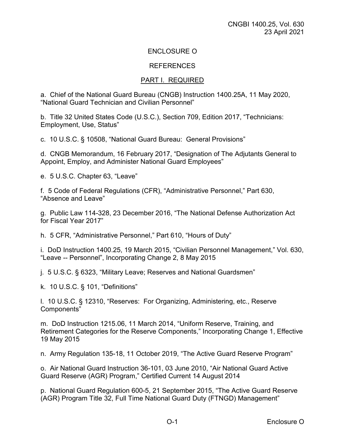# ENCLOSURE O

#### **REFERENCES**

### PART I. REQUIRED

a. Chief of the National Guard Bureau (CNGB) Instruction 1400.25A, 11 May 2020, "National Guard Technician and Civilian Personnel"

b. Title 32 United States Code (U.S.C.), Section 709, Edition 2017, "Technicians: Employment, Use, Status"

c. 10 U.S.C. § 10508, "National Guard Bureau: General Provisions"

d. CNGB Memorandum, 16 February 2017, "Designation of The Adjutants General to Appoint, Employ, and Administer National Guard Employees"

e. 5 U.S.C. Chapter 63, "Leave"

f. 5 Code of Federal Regulations (CFR), "Administrative Personnel," Part 630, "Absence and Leave"

g. Public Law 114-328, 23 December 2016, "The National Defense Authorization Act for Fiscal Year 2017"

h. 5 CFR, "Administrative Personnel," Part 610, "Hours of Duty"

i. DoD Instruction 1400.25, 19 March 2015, "Civilian Personnel Management," Vol. 630, "Leave -- Personnel", Incorporating Change 2, 8 May 2015

j. 5 U.S.C. § 6323, "Military Leave; Reserves and National Guardsmen"

k. 10 U.S.C. § 101, "Definitions"

l. 10 U.S.C. § 12310, "Reserves: For Organizing, Administering, etc., Reserve Components"

m. DoD Instruction 1215.06, 11 March 2014, "Uniform Reserve, Training, and Retirement Categories for the Reserve Components," Incorporating Change 1, Effective 19 May 2015

n. Army Regulation 135-18, 11 October 2019, "The Active Guard Reserve Program"

o. Air National Guard Instruction 36-101, 03 June 2010, "Air National Guard Active Guard Reserve (AGR) Program," Certified Current 14 August 2014

p. National Guard Regulation 600-5, 21 September 2015, "The Active Guard Reserve (AGR) Program Title 32, Full Time National Guard Duty (FTNGD) Management"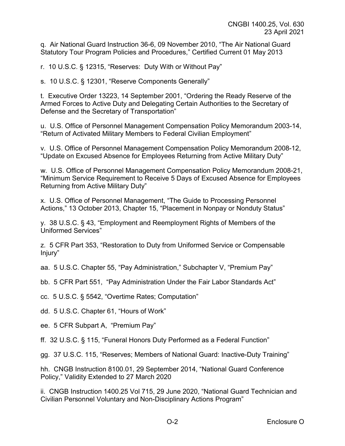q. Air National Guard Instruction 36-6, 09 November 2010, "The Air National Guard Statutory Tour Program Policies and Procedures," Certified Current 01 May 2013

r. 10 U.S.C. § 12315, "Reserves: Duty With or Without Pay"

s. 10 U.S.C. § 12301, "Reserve Components Generally"

t. Executive Order 13223, 14 September 2001, "Ordering the Ready Reserve of the Armed Forces to Active Duty and Delegating Certain Authorities to the Secretary of Defense and the Secretary of Transportation"

u. U.S. Office of Personnel Management Compensation Policy Memorandum 2003-14, "Return of Activated Military Members to Federal Civilian Employment"

v. U.S. Office of Personnel Management Compensation Policy Memorandum 2008-12, "Update on Excused Absence for Employees Returning from Active Military Duty"

w. U.S. Office of Personnel Management Compensation Policy Memorandum 2008-21, "Minimum Service Requirement to Receive 5 Days of Excused Absence for Employees Returning from Active Military Duty"

x. U.S. Office of Personnel Management, "The Guide to Processing Personnel Actions," 13 October 2013, Chapter 15, "Placement in Nonpay or Nonduty Status"

y. 38 U.S.C. § 43, "Employment and Reemployment Rights of Members of the Uniformed Services"

z. 5 CFR Part 353, "Restoration to Duty from Uniformed Service or Compensable Injury"

aa. 5 U.S.C. Chapter 55, "Pay Administration," Subchapter V, "Premium Pay"

bb. 5 CFR Part 551, "Pay Administration Under the Fair Labor Standards Act"

cc. 5 U.S.C. § 5542, "Overtime Rates; Computation"

dd. 5 U.S.C. Chapter 61, "Hours of Work"

ee. 5 CFR Subpart A, "Premium Pay"

ff. 32 U.S.C. § 115, "Funeral Honors Duty Performed as a Federal Function"

gg. 37 U.S.C. 115, "Reserves; Members of National Guard: Inactive-Duty Training"

hh. CNGB Instruction 8100.01, 29 September 2014, "National Guard Conference Policy," Validity Extended to 27 March 2020

ii. CNGB Instruction 1400.25 Vol 715, 29 June 2020, "National Guard Technician and Civilian Personnel Voluntary and Non-Disciplinary Actions Program"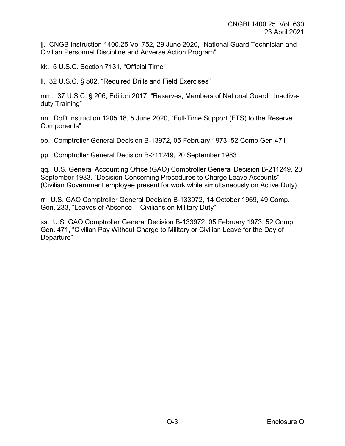jj. CNGB Instruction 1400.25 Vol 752, 29 June 2020, "National Guard Technician and Civilian Personnel Discipline and Adverse Action Program"

kk. 5 U.S.C. Section 7131, "Official Time"

ll. 32 U.S.C. § 502, "Required Drills and Field Exercises"

mm. 37 U.S.C. § 206, Edition 2017, "Reserves; Members of National Guard: Inactiveduty Training"

nn. DoD Instruction 1205.18, 5 June 2020, "Full-Time Support (FTS) to the Reserve Components"

oo. Comptroller General Decision B-13972, 05 February 1973, 52 Comp Gen 471

pp. Comptroller General Decision B-211249, 20 September 1983

qq. U.S. General Accounting Office (GAO) Comptroller General Decision B-211249, 20 September 1983, "Decision Concerning Procedures to Charge Leave Accounts" (Civilian Government employee present for work while simultaneously on Active Duty)

rr. U.S. GAO Comptroller General Decision B-133972, 14 October 1969, 49 Comp. Gen. 233, "Leaves of Absence -- Civilians on Military Duty"

ss. U.S. GAO Comptroller General Decision B-133972, 05 February 1973, 52 Comp. Gen. 471, "Civilian Pay Without Charge to Military or Civilian Leave for the Day of Departure"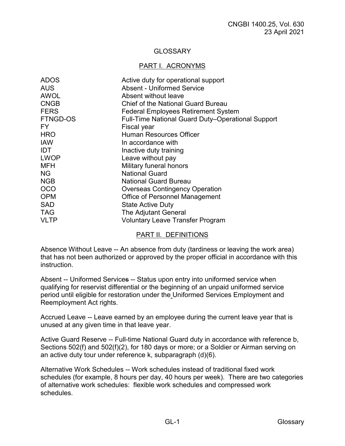# **GLOSSARY**

#### PART I. ACRONYMS

| <b>ADOS</b>     | Active duty for operational support                      |
|-----------------|----------------------------------------------------------|
| <b>AUS</b>      | <b>Absent - Uniformed Service</b>                        |
| <b>AWOL</b>     | Absent without leave                                     |
| <b>CNGB</b>     | Chief of the National Guard Bureau                       |
| <b>FERS</b>     | <b>Federal Employees Retirement System</b>               |
| <b>FTNGD-OS</b> | <b>Full-Time National Guard Duty-Operational Support</b> |
| FY.             | Fiscal year                                              |
| <b>HRO</b>      | <b>Human Resources Officer</b>                           |
| <b>IAW</b>      | In accordance with                                       |
| <b>IDT</b>      | Inactive duty training                                   |
| <b>LWOP</b>     | Leave without pay                                        |
| <b>MFH</b>      | Military funeral honors                                  |
| NG.             | <b>National Guard</b>                                    |
| <b>NGB</b>      | <b>National Guard Bureau</b>                             |
| <b>OCO</b>      | <b>Overseas Contingency Operation</b>                    |
| <b>OPM</b>      | Office of Personnel Management                           |
| <b>SAD</b>      | <b>State Active Duty</b>                                 |
| <b>TAG</b>      | The Adjutant General                                     |
| <b>VLTP</b>     | <b>Voluntary Leave Transfer Program</b>                  |

### PART II. DEFINITIONS

Absence Without Leave -- An absence from duty (tardiness or leaving the work area) that has not been authorized or approved by the proper official in accordance with this instruction.

Absent -- Uniformed Services -- Status upon entry into uniformed service when qualifying for reservist differential or the beginning of an unpaid uniformed service period until eligible for restoration under the Uniformed Services Employment and Reemployment Act rights.

Accrued Leave -- Leave earned by an employee during the current leave year that is unused at any given time in that leave year.

Active Guard Reserve -- Full-time National Guard duty in accordance with reference b, Sections 502(f) and 502(f)(2), for 180 days or more; or a Soldier or Airman serving on an active duty tour under reference k, subparagraph (d)(6).

Alternative Work Schedules -- Work schedules instead of traditional fixed work schedules (for example, 8 hours per day, 40 hours per week). There are two categories of alternative work schedules: flexible work schedules and compressed work schedules.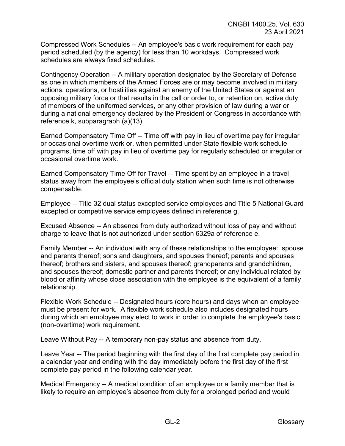Compressed Work Schedules -- An employee's basic work requirement for each pay period scheduled (by the agency) for less than 10 workdays. Compressed work schedules are always fixed schedules.

Contingency Operation -- A military operation designated by the Secretary of Defense as one in which members of the Armed Forces are or may become involved in military actions, operations, or hostilities against an enemy of the United States or against an opposing military force or that results in the call or order to, or retention on, active duty of members of the uniformed services, or any other provision of law during a war or during a national emergency declared by the President or Congress in accordance with reference k, subparagraph (a)(13).

Earned Compensatory Time Off -- Time off with pay in lieu of overtime pay for irregular or occasional overtime work or, when permitted under State flexible work schedule programs, time off with pay in lieu of overtime pay for regularly scheduled or irregular or occasional overtime work.

Earned Compensatory Time Off for Travel -- Time spent by an employee in a travel status away from the employee's official duty station when such time is not otherwise compensable.

Employee -- Title 32 dual status excepted service employees and Title 5 National Guard excepted or competitive service employees defined in reference g.

Excused Absence -- An absence from duty authorized without loss of pay and without charge to leave that is not authorized under section 6329a of reference e.

Family Member -- An individual with any of these relationships to the employee: spouse and parents thereof; sons and daughters, and spouses thereof; parents and spouses thereof; brothers and sisters, and spouses thereof; grandparents and grandchildren, and spouses thereof; domestic partner and parents thereof; or any individual related by blood or affinity whose close association with the employee is the equivalent of a family relationship.

Flexible Work Schedule -- Designated hours (core hours) and days when an employee must be present for work. A flexible work schedule also includes designated hours during which an employee may elect to work in order to complete the employee's basic (non-overtime) work requirement.

Leave Without Pay -- A temporary non-pay status and absence from duty.

Leave Year -- The period beginning with the first day of the first complete pay period in a calendar year and ending with the day immediately before the first day of the first complete pay period in the following calendar year.

Medical Emergency -- A medical condition of an employee or a family member that is likely to require an employee's absence from duty for a prolonged period and would